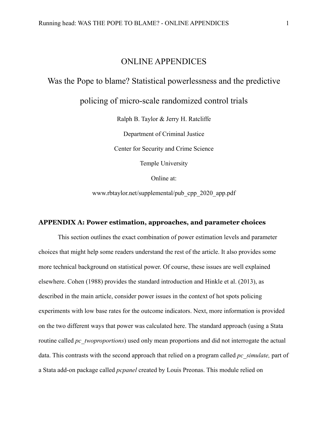## ONLINE APPENDICES

## Was the Pope to blame? Statistical powerlessness and the predictive

policing of micro-scale randomized control trials

Ralph B. Taylor & Jerry H. Ratcliffe

Department of Criminal Justice

Center for Security and Crime Science

Temple University

Online at:

www.rbtaylor.net/supplemental/pub\_cpp\_2020\_app.pdf

#### **APPENDIX A: Power estimation, approaches, and parameter choices**

This section outlines the exact combination of power estimation levels and parameter choices that might help some readers understand the rest of the article. It also provides some more technical background on statistical power. Of course, these issues are well explained elsewhere. Cohen (1988) provides the standard introduction and Hinkle et al. (2013), as described in the main article, consider power issues in the context of hot spots policing experiments with low base rates for the outcome indicators. Next, more information is provided on the two different ways that power was calculated here. The standard approach (using a Stata routine called *pc* two *proportions*) used only mean proportions and did not interrogate the actual data. This contrasts with the second approach that relied on a program called *pc\_simulate,* part of a Stata add-on package called *pcpanel* created by Louis Preonas. This module relied on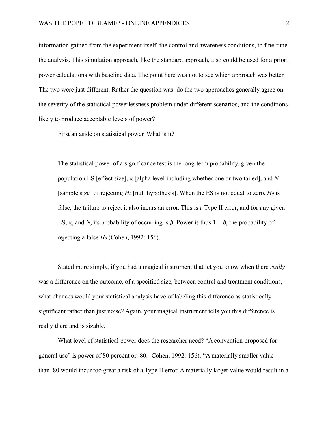information gained from the experiment itself, the control and awareness conditions, to fine-tune the analysis. This simulation approach, like the standard approach, also could be used for a priori power calculations with baseline data. The point here was not to see which approach was better. The two were just different. Rather the question was: do the two approaches generally agree on the severity of the statistical powerlessness problem under different scenarios, and the conditions likely to produce acceptable levels of power?

First an aside on statistical power. What is it?

The statistical power of a significance test is the long-term probability, given the population ES [effect size], α [alpha level including whether one or two tailed], and *N*  [sample size] of rejecting  $H_0$  [null hypothesis]. When the ES is not equal to zero,  $H_0$  is false, the failure to reject it also incurs an error. This is a Type II error, and for any given ES,  $\alpha$ , and *N*, its probability of occurring is  $\beta$ . Power is thus 1 -  $\beta$ , the probability of rejecting a false *H0* (Cohen, 1992: 156).

Stated more simply, if you had a magical instrument that let you know when there *really*  was a difference on the outcome, of a specified size, between control and treatment conditions, what chances would your statistical analysis have of labeling this difference as statistically significant rather than just noise? Again, your magical instrument tells you this difference is really there and is sizable.

What level of statistical power does the researcher need? "A convention proposed for general use" is power of 80 percent or .80. (Cohen, 1992: 156). "A materially smaller value than .80 would incur too great a risk of a Type II error. A materially larger value would result in a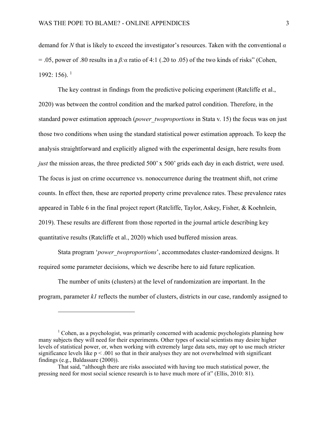demand for *N* that is likely to exceed the investigator's resources. Taken with the conventional *α*  $= .05$ , power of .80 results in a  $\beta$ :*α* ratio of 4:1 (.20 to .05) of the two kinds of risks" (Cohen, 1992: 156).<sup>1</sup>

The key contrast in findings from the predictive policing experiment (Ratcliffe et al., 2020) was between the control condition and the marked patrol condition. Therefore, in the standard power estimation approach (*power\_twoproportions* in Stata v. 15) the focus was on just those two conditions when using the standard statistical power estimation approach. To keep the analysis straightforward and explicitly aligned with the experimental design, here results from *just* the mission areas, the three predicted 500' x 500' grids each day in each district, were used. The focus is just on crime occurrence vs. nonoccurrence during the treatment shift, not crime counts. In effect then, these are reported property crime prevalence rates. These prevalence rates appeared in Table 6 in the final project report (Ratcliffe, Taylor, Askey, Fisher, & Koehnlein, 2019). These results are different from those reported in the journal article describing key quantitative results (Ratcliffe et al., 2020) which used buffered mission areas.

Stata program '*power\_twoproportions*', accommodates cluster-randomized designs. It required some parameter decisions, which we describe here to aid future replication.

The number of units (clusters) at the level of randomization are important. In the program, parameter *k1* reflects the number of clusters, districts in our case, randomly assigned to

 $\overline{a}$ 

<sup>&</sup>lt;sup>1</sup> Cohen, as a psychologist, was primarily concerned with academic psychologists planning how many subjects they will need for their experiments. Other types of social scientists may desire higher levels of statistical power, or, when working with extremely large data sets, may opt to use much stricter significance levels like  $p < .001$  so that in their analyses they are not overwhelmed with significant findings (e.g., Baldassare (2000)).

That said, "although there are risks associated with having too much statistical power, the pressing need for most social science research is to have much more of it" (Ellis, 2010: 81).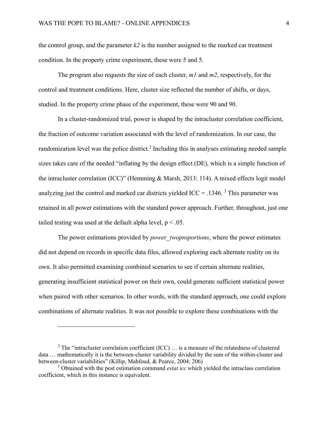the control group, and the parameter  $k2$  is the number assigned to the marked car treatment condition. In the property crime experiment, these were 5 and 5.

The program also requests the size of each cluster, *m1* and *m2*, respectively, for the control and treatment conditions. Here, cluster size reflected the number of shifts, or days, studied. In the property crime phase of the experiment, these were 90 and 90.

In a cluster-randomized trial, power is shaped by the intracluster correlation coefficient, the fraction of outcome variation associated with the level of randomization. In our case, the randomization level was the police district.<sup>2</sup> Including this in analyses estimating needed sample sizes takes care of the needed "inflating by the design effect (DE), which is a simple function of the intracluster correlation (ICC)" (Hemming & Marsh, 2013: 114). A mixed effects logit model analyzing just the control and marked car districts yielded  $ICC = .1346.$ <sup>3</sup> This parameter was retained in all power estimations with the standard power approach. Further, throughout, just one tailed testing was used at the default alpha level,  $p < .05$ .

The power estimations provided by *power* two *proportions*, where the power estimates did not depend on records in specific data files, allowed exploring each alternate reality on its own. It also permitted examining combined scenarios to see if certain alternate realities, generating insufficient statistical power on their own, could generate sufficient statistical power when paired with other scenarios. In other words, with the standard approach, one could explore combinations of alternate realities. It was not possible to explore these combinations with the

 $\overline{a}$ 

<sup>&</sup>lt;sup>2</sup> The "intracluster correlation coefficient (ICC) ... is a measure of the relatedness of clustered data … mathematically it is the between-cluster variability divided by the sum of the within-cluster and between-cluster variabilities" (Killip, Mahfoud, & Pearce, 2004: 206)

<sup>&</sup>lt;sup>3</sup> Obtained with the post estimation command *estat icc* which yielded the intraclass correlation coefficient, which in this instance is equivalent.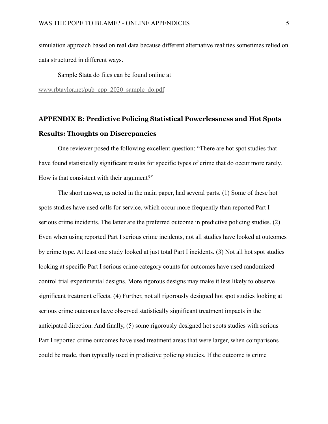simulation approach based on real data because different alternative realities sometimes relied on data structured in different ways.

Sample Stata do files can be found online at

www.rbtaylor.net/pub\_cpp\_2020\_sample\_do.pdf

# **APPENDIX B: Predictive Policing Statistical Powerlessness and Hot Spots Results: Thoughts on Discrepancies**

One reviewer posed the following excellent question: "There are hot spot studies that have found statistically significant results for specific types of crime that do occur more rarely. How is that consistent with their argument?"

The short answer, as noted in the main paper, had several parts. (1) Some of these hot spots studies have used calls for service, which occur more frequently than reported Part I serious crime incidents. The latter are the preferred outcome in predictive policing studies. (2) Even when using reported Part I serious crime incidents, not all studies have looked at outcomes by crime type. At least one study looked at just total Part I incidents. (3) Not all hot spot studies looking at specific Part I serious crime category counts for outcomes have used randomized control trial experimental designs. More rigorous designs may make it less likely to observe significant treatment effects. (4) Further, not all rigorously designed hot spot studies looking at serious crime outcomes have observed statistically significant treatment impacts in the anticipated direction. And finally, (5) some rigorously designed hot spots studies with serious Part I reported crime outcomes have used treatment areas that were larger, when comparisons could be made, than typically used in predictive policing studies. If the outcome is crime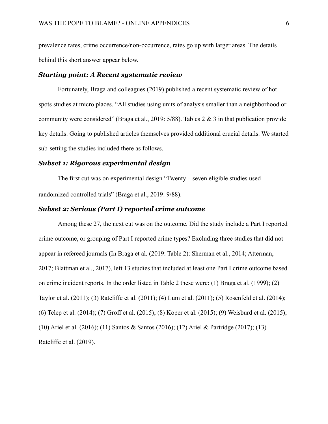prevalence rates, crime occurrence/non-occurrence, rates go up with larger areas. The details behind this short answer appear below.

### *Starting point: A Recent systematic review*

Fortunately, Braga and colleagues (2019) published a recent systematic review of hot spots studies at micro places. "All studies using units of analysis smaller than a neighborhood or community were considered" (Braga et al., 2019: 5/88). Tables 2 & 3 in that publication provide key details. Going to published articles themselves provided additional crucial details. We started sub-setting the studies included there as follows.

### *Subset 1: Rigorous experimental design*

The first cut was on experimental design "Twenty - seven eligible studies used randomized controlled trials" (Braga et al., 2019: 9/88).

## *Subset 2: Serious (Part I) reported crime outcome*

Among these 27, the next cut was on the outcome. Did the study include a Part I reported crime outcome, or grouping of Part I reported crime types? Excluding three studies that did not appear in refereed journals (In Braga et al. (2019: Table 2): Sherman et al., 2014; Atterman, 2017; Blattman et al., 2017), left 13 studies that included at least one Part I crime outcome based on crime incident reports. In the order listed in Table 2 these were: (1) Braga et al. (1999); (2) Taylor et al. (2011); (3) Ratcliffe et al. (2011); (4) Lum et al. (2011); (5) Rosenfeld et al. (2014); (6) Telep et al. (2014); (7) Groff et al. (2015); (8) Koper et al. (2015); (9) Weisburd et al. (2015); (10) Ariel et al. (2016); (11) Santos & Santos (2016); (12) Ariel & Partridge (2017); (13) Ratcliffe et al. (2019).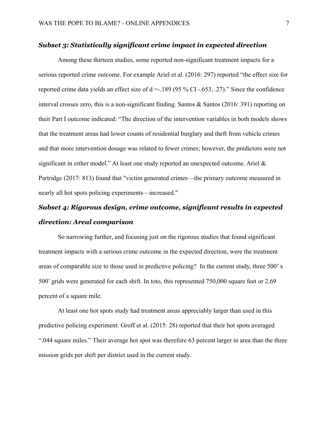## *Subset 3: Statistically significant crime impact in expected direction*

Among these thirteen studies, some reported non-significant treatment impacts for a serious reported crime outcome. For example Ariel et al. (2016: 297) reported "the effect size for reported crime data yields an effect size of  $d = -.189$  (95 % CI -.653, .27)." Since the confidence interval crosses zero, this is a non-significant finding. Santos  $\&$  Santos (2016: 391) reporting on their Part I outcome indicated: "The direction of the intervention variables in both models shows that the treatment areas had lower counts of residential burglary and theft from vehicle crimes and that more intervention dosage was related to fewer crimes; however, the predictors were not significant in either model." At least one study reported an unexpected outcome. Ariel & Partridge (2017: 813) found that "victim generated crimes—the primary outcome measured in nearly all hot spots policing experiments—increased."

# *Subset 4: Rigorous design, crime outcome, significant results in expected direction: Areal comparison*

So narrowing further, and focusing just on the rigorous studies that found significant treatment impacts with a serious crime outcome in the expected direction, were the treatment areas of comparable size to those used in predictive policing? In the current study, three 500' x 500' grids were generated for each shift. In toto, this represented 750,000 square feet or 2.69 percent of a square mile.

At least one hot spots study had treatment areas appreciably larger than used in this predictive policing experiment. Groff et al. (2015: 28) reported that their hot spots averaged ".044 square miles." Their average hot spot was therefore 63 percent larger in area than the three mission grids per shift per district used in the current study.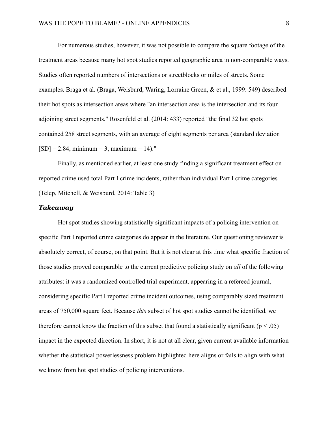For numerous studies, however, it was not possible to compare the square footage of the treatment areas because many hot spot studies reported geographic area in non-comparable ways. Studies often reported numbers of intersections or streetblocks or miles of streets. Some examples. Braga et al. (Braga, Weisburd, Waring, Lorraine Green, & et al., 1999: 549) described their hot spots as intersection areas where "an intersection area is the intersection and its four adjoining street segments." Rosenfeld et al. (2014: 433) reported "the final 32 hot spots contained 258 street segments, with an average of eight segments per area (standard deviation  $[SD] = 2.84$ , minimum = 3, maximum = 14)."

Finally, as mentioned earlier, at least one study finding a significant treatment effect on reported crime used total Part I crime incidents, rather than individual Part I crime categories (Telep, Mitchell, & Weisburd, 2014: Table 3)

#### *Takeaway*

Hot spot studies showing statistically significant impacts of a policing intervention on specific Part I reported crime categories do appear in the literature. Our questioning reviewer is absolutely correct, of course, on that point. But it is not clear at this time what specific fraction of those studies proved comparable to the current predictive policing study on *all* of the following attributes: it was a randomized controlled trial experiment, appearing in a refereed journal, considering specific Part I reported crime incident outcomes, using comparably sized treatment areas of 750,000 square feet. Because *this* subset of hot spot studies cannot be identified, we therefore cannot know the fraction of this subset that found a statistically significant ( $p < .05$ ) impact in the expected direction. In short, it is not at all clear, given current available information whether the statistical powerlessness problem highlighted here aligns or fails to align with what we know from hot spot studies of policing interventions.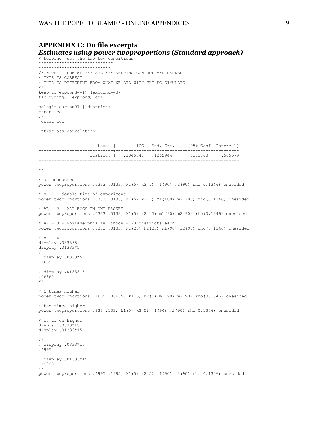## **APPENDIX C: Do file excerpts**

#### *Estimates using power twoproportions (Standard approach)*

\* keeping just the two key conditions \*\*\*\*\*\*\*\*\*\*\*\*\*\*\*\*\*\*\*\*\*\*\*\*\*\*\*\*\* \*\*\*\*\*\*\*\*\*\*\*\*\*\*\*\*\*\*\*\*\*\*\*\*\*\*\*\* /\* NOTE - HERE WE \*\*\* ARE \*\*\* KEEPING CONTROL AND MARKED \* THIS IS CORRECT \* THIS IS DIFFERENT FROM WHAT WE DID WITH THE PC SIMULATE \*/ keep if(expcond==1)|(expcond==3) tab during01 expcond, col melogit during01 ||district: estat icc /\* estat icc Intraclass correlation ------------------------------------------------------------------------------ Level | ICC Std. Err. [95% Conf. Interval] -----------------------------+----------------------------------------------- district | .1345848 .1262944 .0182303 .565679 ------------------------------------------------------------------------------ \*/ \* as conducted power twoproportions .0333 .0133, k1(5) k2(5) m1(90) m2(90) rho(0.1346) onesided \* AR-1 - double time of experiment power twoproportions .0333 .0133, k1(5) k2(5) m1(180) m2(180) rho(0.1346) onesided \* AR - 2 - ALL EGGS IN ONE BASKET power twoproportions .0333 .0133, k1(5) k2(15) m1(90) m2(90) rho(0.1346) onesided \* AR - 3 - Philadelphia is London - 23 districts each power twoproportions .0333 .0133, k1(23) k2(23) m1(90) m2(90) rho(0.1346) onesided  $*$  AR - 4 display .0333\*5 display .01333\*5  $/\star$ . display .0333\*5 .1665 . display .01333\*5 .06665 \*/ \* 5 times higher power twoproportions .1665 .06665, k1(5) k2(5) m1(90) m2(90) rho(0.1346) onesided \* ten times higher power twoproportions .333 .133, k1(5) k2(5) m1(90) m2(90) rho(0.1346) onesided \* 15 times higher display .0333\*15 display .01333\*15 /\* . display .0333\*15 .4995 . display .01333\*15 .19995 \*/ power twoproportions .4995 .1995, k1(5) k2(5) m1(90) m2(90) rho(0.1346) onesided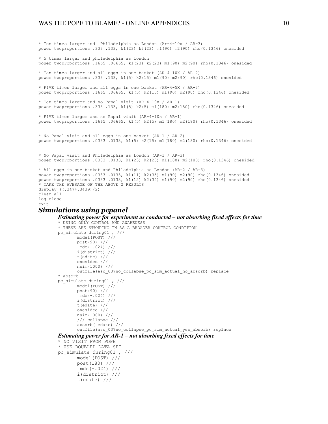#### WAS THE POPE TO BLAME? - ONLINE APPENDICES 10

```
* Ten times larger and Philadelphia as London (Ar-4-10x / AR-3) 
power twoproportions .333 .133, k1(23) k2(23) m1(90) m2(90) rho(0.1346) onesided 
* 5 times larger and philadelphia as london 
power twoproportions .1665 .06665, k1(23) k2(23) m1(90) m2(90) rho(0.1346) onesided 
* Ten times larger and all eggs in one basket (AR-4-10X / AR-2) 
power twoproportions .333 .133, k1(5) k2(15) m1(90) m2(90) rho(0.1346) onesided 
* FIVE times larger and all eggs in one basket (AR-4-5X / AR-2) 
power twoproportions .1665 .06665, k1(5) k2(15) m1(90) m2(90) rho(0.1346) onesided 
* Ten times larger and no Papal visit (AR-4-10x / AR-1) 
power twoproportions .333 .133, k1(5) k2(5) m1(180) m2(180) rho(0.1346) onesided 
* FIVE times larger and no Papal visit (AR-4-10x / AR-1) 
power twoproportions .1665 .06665, k1(5) k2(5) m1(180) m2(180) rho(0.1346) onesided 
* No Papal visit and all eggs in one basket (AR-1 / AR-2) 
power twoproportions .0333 .0133, k1(5) k2(15) m1(180) m2(180) rho(0.1346) onesided 
* No Papal visit and Philadelphia as London (AR-1 / AR-3) 
power twoproportions .0333 .0133, k1(23) k2(23) m1(180) m2(180) rho(0.1346) onesided 
* All eggs in one basket and Philadelphia as London (AR-2 / AR-3) 
power twoproportions .0333 .0133, k1(11) k2(35) m1(90) m2(90) rho(0.1346) onesided 
power twoproportions .0333 .0133, k1(12) k2(34) m1(90) m2(90) rho(0.1346) onesided 
* TAKE THE AVERAGE OF THE ABOVE 2 RESULTS 
display ((.347+.3439)/2) 
clear all 
log close 
exit 
Simulations using pcpanel 
       Estimating power for experiment as conducted – not absorbing fixed effects for time 
        * USING ONLY CONTROL AND AWARENESS 
        * THESE ARE STANDING IN AS A BROADER CONTROL CONDITION 
       pc_simulate during01 , /// 
                model(POST) /// 
                post(90) /// 
                mde(-.024) /// 
                i(district) /// 
                t(edate) /// 
                onesided /// 
                nsim(1000) /// 
                outfile(asc_037no_collapse_pc_sim_actual_no_absorb) replace 
        * absorb 
       pc_simulate during01 , /// 
               model(POST) /// 
                post(90) /// 
                mde(-.024) ///
                i(district) /// 
                t(edate) /// 
                onesided /// 
                nsim(1000) /// 
                /// collapse /// 
                absorb( edate) /// 
               outfile(asc_037no_collapse_pc_sim_actual_yes_absorb) replace
       Estimating power for AR-1 – not absorbing fixed effects for time 
        * NO VISIT FROM POPE 
        * USE DOUBLED DATA SET 
       pc_simulate during01 , /// 
                model(POST) /// 
                post(180) /// 
                 mde(-.024) /// 
                i(district) /// 
                t(edate) ///
```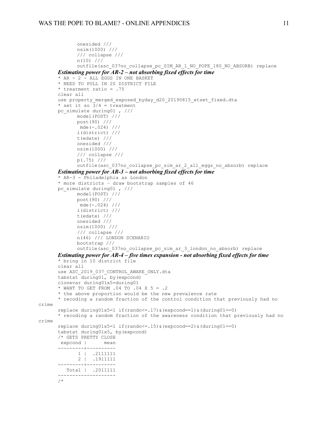```
 onesided /// 
               nsim(1000) /// 
               /// collapse /// 
              n(10) ///
               outfile(asc_037no_collapse_pc_SIM_AR_1_NO_POPE_180_NO_ABSORB) replace 
       Estimating power for AR-2 – not absorbing fixed effects for time 
       * AR - 2<sup>-</sup>- ALL EGGS IN ONE BASKET
       * NEED TO PULL IN 20 DISTRICT FILE 
       * treatment ratio = .75 
       clear all 
       use property merged exposed byday d20 20190815 xtset fixed.dta
       * set it so \frac{1}{3}/4 = treatment
       pc_simulate during01 , /// 
              model(POST) /// 
               post(90) /// 
               mde(-.024) /// 
               i(district) /// 
               t(edate) /// 
               onesided /// 
               nsim(1000) /// 
               /// collapse /// 
               p(.75) /// 
               outfile(asc_037no_collapse_pc_sim_ar_2_all_eggs_no_absorb) replace 
       Estimating power for AR-3 – not absorbing fixed effects for time 
       * AR-3 - Philadelphia as London 
       * more districts – draw bootstrap samples of 46 
       pc_simulate during01 , /// 
               model(POST) /// 
               post(90) /// 
              mde(-.024) ///
               i(district) /// 
               t(edate) /// 
               onesided /// 
               nsim(1000) /// 
               /// collapse /// 
               n(46) /// LONDON SCENARIO 
               bootstrap /// 
               outfile(asc_037no_collapse_pc_sim_ar_3_london_no_absorb) replace 
       Estimating power for AR-4 – five times expansion - not absorbing fixed effects for time 
       * bring in 10 district file 
       clear all 
       use ASC_2019_037_CONTROL_AWARE_ONLY.dta 
       tabstat during01, by(expcond) 
       clonevar during01x5=during01 
       * WANT TO GET FROM .04 TO .04 X 5 = .2 
       * the above proportion would be the new prevalence rate 
       * recoding a random fraction of the control condition that previously had no 
crime 
       replace during01x5=1 if(rando\leq=.17) & (expcond==1) & (during01==0)
       * recoding a random fraction of the awareness condition that previously had no 
crime 
       replace during01x5=1 if(rando\leq=.15) & (expcond==2) & (during01==0)
       tabstat during01x5, by(expcond) 
       /* GETS PRETTY CLOSE 
        expcond | mean 
       ---------+---------- 
               1 | .2111111 
               2 | .1911111 
       ---------+---------- 
          Total | .2011111 
       -------------------- 
       /*
```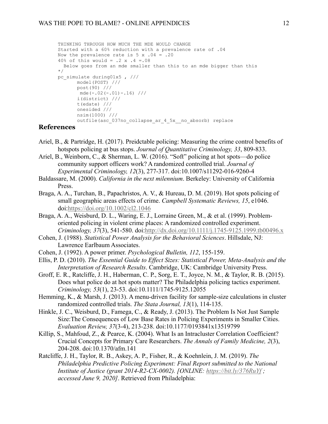```
THINKING THROUGH HOW MUCH THE MDE WOULD CHANGE 
Started with a 60% reduction with a prevalence rate of .04 
Now the prevalence rate is 5 \times .04 = .2040% of this would = .2 x .4 = .08 Below goes from an mde smaller than this to an mde bigger than this 
*/ 
pc_simulate during01x5 , /// 
       model(POST) /// 
       post(90) /// 
       mde(-.02(-.01)-.16) /// i(district) /// 
        t(edate) /// 
        onesided /// 
       nsim(1000) /// 
        outfile(asc_037no_collapse_ar_4_5x__no_absorb) replace
```
### **References**

- Ariel, B., & Partridge, H. (2017). Preidctable policing: Measuring the crime control benefits of hotspots policing at bus stops. *Journal of Quantitative Criminology, 33*, 809-833.
- Ariel, B., Weinborn, C., & Sherman, L. W. (2016). "Soft" policing at hot spots—do police community support officers work? A randomized controlled trial. *Journal of Experimental Criminology, 12*(3), 277-317. doi:10.1007/s11292-016-9260-4
- Baldassare, M. (2000). *California in the next milennium*. Berkeley: University of California Press.
- Braga, A. A., Turchan, B., Papachristos, A. V., & Hureau, D. M. (2019). Hot spots policing of small geographic areas effects of crime. *Campbell Systematic Reviews, 15*, e1046. doi:https://doi.org/10.1002/cl2.1046
- Braga, A. A., Weisburd, D. L., Waring, E. J., Lorraine Green, M., & et al. (1999). Problemoriented policing in violent crime places: A randomized controlled experiment. *Criminology, 37*(3), 541-580. doi:http://dx.doi.org/10.1111/j.1745-9125.1999.tb00496.x
- Cohen, J. (1988). *Statistical Power Analysis for the Behavioral Sciences*. Hillsdale, NJ: Lawrence Earlbaum Associates.
- Cohen, J. (1992). A power primer. *Psychological Bulletin, 112*, 155-159.
- Ellis, P. D. (2010). *The Essential Guide to Effect Sizes: Statistical Power, Meta-Analysis and the Interpretation of Research Results*. Cambridge, UK: Cambridge University Press.
- Groff, E. R., Ratcliffe, J. H., Haberman, C. P., Sorg, E. T., Joyce, N. M., & Taylor, R. B. (2015). Does what police do at hot spots matter? The Philadelphia policing tactics experiment. *Criminology, 53*(1), 23-53. doi:10.1111/1745-9125.12055
- Hemming, K., & Marsh, J. (2013). A menu-driven facility for sample-size calculations in cluster randomized controlled trials. *The Stata Journal, 13*(1), 114-135.
- Hinkle, J. C., Weisburd, D., Famega, C., & Ready, J. (2013). The Problem Is Not Just Sample Size:The Consequences of Low Base Rates in Policing Experiments in Smaller Cities. *Evaluation Review, 37*(3-4), 213-238. doi:10.1177/0193841x13519799
- Killip, S., Mahfoud, Z., & Pearce, K. (2004). What Is an Intracluster Correlation Coefficient? Crucial Concepts for Primary Care Researchers. *The Annals of Family Medicine, 2*(3), 204-208. doi:10.1370/afm.141
- Ratcliffe, J. H., Taylor, R. B., Askey, A. P., Fisher, R., & Koehnlein, J. M. (2019). *The Philadelphia Predictive Policing Experiment: Final Report submitted to the National Institute of Justice (grant 2014-R2-CX-0002). [ONLINE: https://bit.ly/376RuYf ; accessed June 9, 2020]*. Retrieved from Philadelphia: